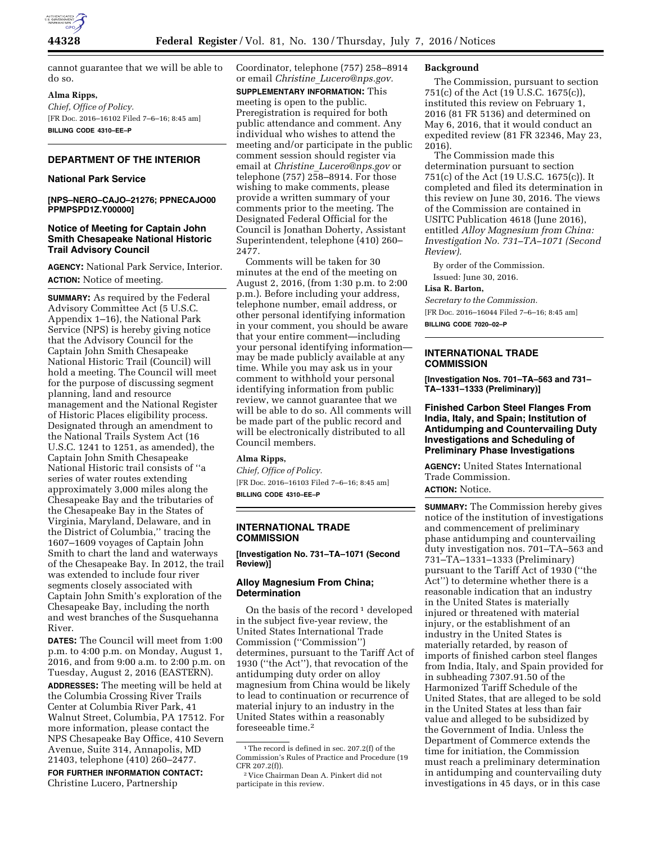

cannot guarantee that we will be able to do so.

## **Alma Ripps,**

*Chief, Office of Policy.*  [FR Doc. 2016–16102 Filed 7–6–16; 8:45 am] **BILLING CODE 4310–EE–P** 

# **DEPARTMENT OF THE INTERIOR**

## **National Park Service**

**[NPS–NERO–CAJO–21276; PPNECAJO00 PPMPSPD1Z.Y00000]** 

## **Notice of Meeting for Captain John Smith Chesapeake National Historic Trail Advisory Council**

**AGENCY:** National Park Service, Interior. **ACTION:** Notice of meeting.

**SUMMARY:** As required by the Federal Advisory Committee Act (5 U.S.C. Appendix 1–16), the National Park Service (NPS) is hereby giving notice that the Advisory Council for the Captain John Smith Chesapeake National Historic Trail (Council) will hold a meeting. The Council will meet for the purpose of discussing segment planning, land and resource management and the National Register of Historic Places eligibility process. Designated through an amendment to the National Trails System Act (16 U.S.C. 1241 to 1251, as amended), the Captain John Smith Chesapeake National Historic trail consists of ''a series of water routes extending approximately 3,000 miles along the Chesapeake Bay and the tributaries of the Chesapeake Bay in the States of Virginia, Maryland, Delaware, and in the District of Columbia,'' tracing the 1607–1609 voyages of Captain John Smith to chart the land and waterways of the Chesapeake Bay. In 2012, the trail was extended to include four river segments closely associated with Captain John Smith's exploration of the Chesapeake Bay, including the north and west branches of the Susquehanna River.

**DATES:** The Council will meet from 1:00 p.m. to 4:00 p.m. on Monday, August 1, 2016, and from 9:00 a.m. to 2:00 p.m. on Tuesday, August 2, 2016 (EASTERN). **ADDRESSES:** The meeting will be held at the Columbia Crossing River Trails Center at Columbia River Park, 41 Walnut Street, Columbia, PA 17512. For more information, please contact the NPS Chesapeake Bay Office, 410 Severn Avenue, Suite 314, Annapolis, MD 21403, telephone (410) 260–2477.

**FOR FURTHER INFORMATION CONTACT:**  Christine Lucero, Partnership

Coordinator, telephone (757) 258–8914 or email *Christine*\_*[Lucero@nps.gov.](mailto:Christine_Lucero@nps.gov)* 

**SUPPLEMENTARY INFORMATION:** This meeting is open to the public. Preregistration is required for both public attendance and comment. Any individual who wishes to attend the meeting and/or participate in the public comment session should register via email at *Christine*\_*[Lucero@nps.gov](mailto:Christine_Lucero@nps.gov)* or telephone (757) 258–8914. For those wishing to make comments, please provide a written summary of your comments prior to the meeting. The Designated Federal Official for the Council is Jonathan Doherty, Assistant Superintendent, telephone (410) 260– 2477.

Comments will be taken for 30 minutes at the end of the meeting on August 2, 2016, (from 1:30 p.m. to 2:00 p.m.). Before including your address, telephone number, email address, or other personal identifying information in your comment, you should be aware that your entire comment—including your personal identifying information may be made publicly available at any time. While you may ask us in your comment to withhold your personal identifying information from public review, we cannot guarantee that we will be able to do so. All comments will be made part of the public record and will be electronically distributed to all Council members.

## **Alma Ripps,**

*Chief, Office of Policy.*  [FR Doc. 2016–16103 Filed 7–6–16; 8:45 am] **BILLING CODE 4310–EE–P** 

**INTERNATIONAL TRADE COMMISSION** 

**[Investigation No. 731–TA–1071 (Second Review)]** 

## **Alloy Magnesium From China; Determination**

On the basis of the record<sup>1</sup> developed in the subject five-year review, the United States International Trade Commission (''Commission'') determines, pursuant to the Tariff Act of 1930 (''the Act''), that revocation of the antidumping duty order on alloy magnesium from China would be likely to lead to continuation or recurrence of material injury to an industry in the United States within a reasonably foreseeable time.2

## **Background**

The Commission, pursuant to section 751(c) of the Act (19 U.S.C. 1675(c)), instituted this review on February 1, 2016 (81 FR 5136) and determined on May 6, 2016, that it would conduct an expedited review (81 FR 32346, May 23, 2016).

The Commission made this determination pursuant to section 751(c) of the Act (19 U.S.C. 1675(c)). It completed and filed its determination in this review on June 30, 2016. The views of the Commission are contained in USITC Publication 4618 (June 2016), entitled *Alloy Magnesium from China: Investigation No. 731–TA–1071 (Second Review).* 

By order of the Commission.

Issued: June 30, 2016. **Lisa R. Barton,** 

# *Secretary to the Commission.*

[FR Doc. 2016–16044 Filed 7–6–16; 8:45 am] **BILLING CODE 7020–02–P** 

## **INTERNATIONAL TRADE COMMISSION**

**[Investigation Nos. 701–TA–563 and 731– TA–1331–1333 (Preliminary)]** 

**Finished Carbon Steel Flanges From India, Italy, and Spain; Institution of Antidumping and Countervailing Duty Investigations and Scheduling of Preliminary Phase Investigations** 

**AGENCY:** United States International Trade Commission. **ACTION:** Notice.

**SUMMARY:** The Commission hereby gives notice of the institution of investigations and commencement of preliminary phase antidumping and countervailing duty investigation nos. 701–TA–563 and 731–TA–1331–1333 (Preliminary) pursuant to the Tariff Act of 1930 (''the Act'') to determine whether there is a reasonable indication that an industry in the United States is materially injured or threatened with material injury, or the establishment of an industry in the United States is materially retarded, by reason of imports of finished carbon steel flanges from India, Italy, and Spain provided for in subheading 7307.91.50 of the Harmonized Tariff Schedule of the United States, that are alleged to be sold in the United States at less than fair value and alleged to be subsidized by the Government of India. Unless the Department of Commerce extends the time for initiation, the Commission must reach a preliminary determination in antidumping and countervailing duty investigations in 45 days, or in this case

<sup>&</sup>lt;sup>1</sup>The record is defined in sec. 207.2(f) of the Commission's Rules of Practice and Procedure (19 CFR 207.2(f)).

<sup>2</sup> Vice Chairman Dean A. Pinkert did not participate in this review.